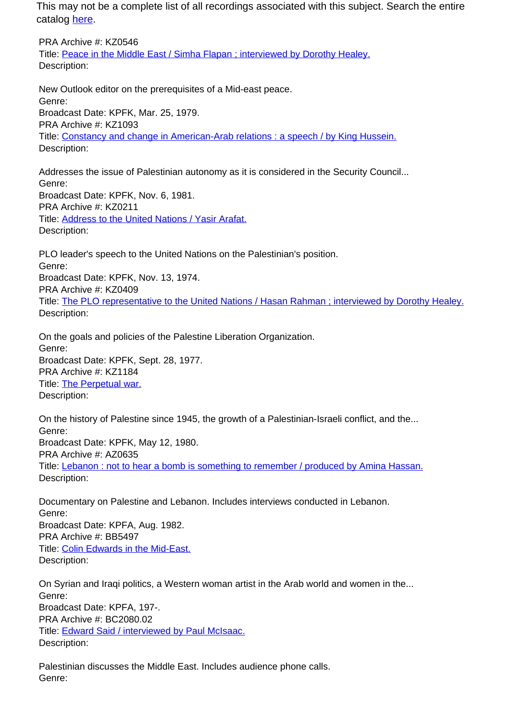This may not be a complete list of all recordings associated with this subject. Search the entire catalog [here.](http://pacificaradioarchives.org/keyword-search)

PRA Archive #: KZ0546 Title: Peace in the Middle East / Simha Flapan ; interviewed by Dorothy Healey. Description:

New Outlook editor on the prerequisites of a Mid-east peace. Genre: Broadcast Date: KPFK, Mar. 25, 1979. PRA Archive #: KZ1093 Title: Constancy and change in American-Arab relations : a speech / by King Hussein. Description:

Addresses the issue of Palestinian autonomy as it is considered in the Security Council... Genre: Broadcast Date: KPFK, Nov. 6, 1981. PRA Archive #: KZ0211 Title: Address to the United Nations / Yasir Arafat. Description:

PLO leader's speech to the United Nations on the Palestinian's position. Genre: Broadcast Date: KPFK, Nov. 13, 1974. PRA Archive #: KZ0409 Title: The PLO representative to the United Nations / Hasan Rahman ; interviewed by Dorothy Healey. Description:

On the goals and policies of the Palestine Liberation Organization. Genre: Broadcast Date: KPFK, Sept. 28, 1977. PRA Archive #: KZ1184 Title: The Perpetual war. Description:

On the history of Palestine since 1945, the growth of a Palestinian-Israeli conflict, and the... Genre: Broadcast Date: KPFK, May 12, 1980. PRA Archive #: AZ0635 Title: Lebanon : not to hear a bomb is something to remember / produced by Amina Hassan. Description:

Documentary on Palestine and Lebanon. Includes interviews conducted in Lebanon. Genre: Broadcast Date: KPFA, Aug. 1982. PRA Archive #: BB5497 Title: Colin Edwards in the Mid-East. Description:

On Syrian and Iraqi politics, a Western woman artist in the Arab world and women in the... Genre: Broadcast Date: KPFA, 197-. PRA Archive #: BC2080.02 Title: **Edward Said / interviewed by Paul McIsaac.** Description:

Palestinian discusses the Middle East. Includes audience phone calls. Genre: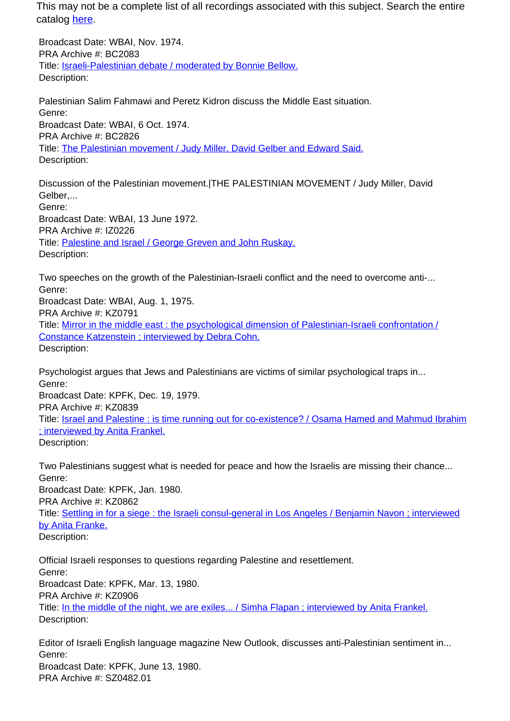This may not be a complete list of all recordings associated with this subject. Search the entire catalog here.

Broadcast Date: WBAI, Nov. 1974. PRA Archive #: BC2083 Title: Israeli-Palestinian debate / moderated by Bonnie Bellow. Description:

Palestinian Salim Fahmawi and Peretz Kidron discuss the Middle East situation. Genre: Broadcast Date: WBAI, 6 Oct. 1974. PRA Archive #: BC2826 Title: The Palestinian movement / Judy Miller, David Gelber and Edward Said. Description:

Discussion of the Palestinian movement.|THE PALESTINIAN MOVEMENT / Judy Miller, David Gelber,... Genre: Broadcast Date: WBAI, 13 June 1972. PRA Archive #: IZ0226 Title: Palestine and Israel / George Greven and John Ruskay. Description:

Two speeches on the growth of the Palestinian-Israeli conflict and the need to overcome anti-... Genre: Broadcast Date: WBAI, Aug. 1, 1975. PRA Archive #: KZ0791 Title: Mirror in the middle east : the psychological dimension of Palestinian-Israeli confrontation / Constance Katzenstein ; interviewed by Debra Cohn. Description:

Psychologist argues that Jews and Palestinians are victims of similar psychological traps in... Genre: Broadcast Date: KPFK, Dec. 19, 1979. PRA Archive #: KZ0839 Title: Israel and Palestine : is time running out for co-existence? / Osama Hamed and Mahmud Ibrahim ; interviewed by Anita Frankel. Description:

Two Palestinians suggest what is needed for peace and how the Israelis are missing their chance... Genre: Broadcast Date: KPFK, Jan. 1980. PRA Archive #: KZ0862 Title: Settling in for a siege : the Israeli consul-general in Los Angeles / Benjamin Navon ; interviewed by Anita Franke. Description:

Official Israeli responses to questions regarding Palestine and resettlement. Genre: Broadcast Date: KPFK, Mar. 13, 1980. PRA Archive #: KZ0906 Title: In the middle of the night, we are exiles... / Simha Flapan ; interviewed by Anita Frankel. Description:

Editor of Israeli English language magazine New Outlook, discusses anti-Palestinian sentiment in... Genre: Broadcast Date: KPFK, June 13, 1980. PRA Archive #: SZ0482.01